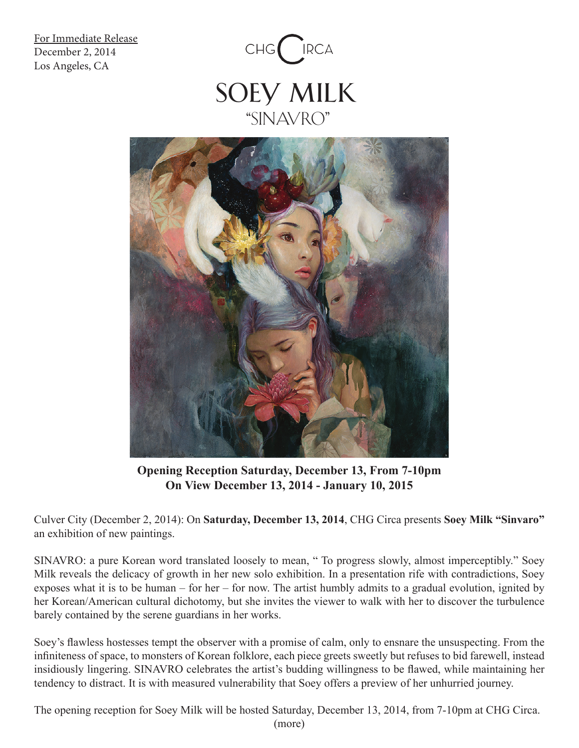For Immediate Release December 2, 2014 Los Angeles, CA





**Opening Reception Saturday, December 13, From 7-10pm On View December 13, 2014 - January 10, 2015**

Culver City (December 2, 2014): On **Saturday, December 13, 2014**, CHG Circa presents **Soey Milk "Sinvaro"** an exhibition of new paintings.

SINAVRO: a pure Korean word translated loosely to mean, " To progress slowly, almost imperceptibly." Soey Milk reveals the delicacy of growth in her new solo exhibition. In a presentation rife with contradictions, Soey exposes what it is to be human – for her – for now. The artist humbly admits to a gradual evolution, ignited by her Korean/American cultural dichotomy, but she invites the viewer to walk with her to discover the turbulence barely contained by the serene guardians in her works.

Soey's flawless hostesses tempt the observer with a promise of calm, only to ensnare the unsuspecting. From the infiniteness of space, to monsters of Korean folklore, each piece greets sweetly but refuses to bid farewell, instead insidiously lingering. SINAVRO celebrates the artist's budding willingness to be flawed, while maintaining her tendency to distract. It is with measured vulnerability that Soey offers a preview of her unhurried journey.

The opening reception for Soey Milk will be hosted Saturday, December 13, 2014, from 7-10pm at CHG Circa. (more)